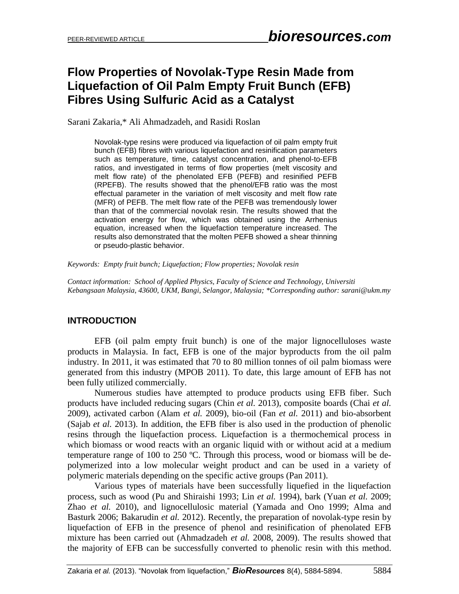# **Flow Properties of Novolak-Type Resin Made from Liquefaction of Oil Palm Empty Fruit Bunch (EFB) Fibres Using Sulfuric Acid as a Catalyst**

Sarani Zakaria,\* Ali Ahmadzadeh, and Rasidi Roslan

Novolak-type resins were produced via liquefaction of oil palm empty fruit bunch (EFB) fibres with various liquefaction and resinification parameters such as temperature, time, catalyst concentration, and phenol-to-EFB ratios, and investigated in terms of flow properties (melt viscosity and melt flow rate) of the phenolated EFB (PEFB) and resinified PEFB (RPEFB). The results showed that the phenol/EFB ratio was the most effectual parameter in the variation of melt viscosity and melt flow rate (MFR) of PEFB. The melt flow rate of the PEFB was tremendously lower than that of the commercial novolak resin. The results showed that the activation energy for flow, which was obtained using the Arrhenius equation, increased when the liquefaction temperature increased. The results also demonstrated that the molten PEFB showed a shear thinning or pseudo-plastic behavior.

*Keywords: Empty fruit bunch; Liquefaction; Flow properties; Novolak resin*

*Contact information: School of Applied Physics, Faculty of Science and Technology, Universiti Kebangsaan Malaysia, 43600, UKM, Bangi, Selangor, Malaysia; \*Corresponding author: sarani@ukm.my*

### **INTRODUCTION**

EFB (oil palm empty fruit bunch) is one of the major lignocelluloses waste products in Malaysia. In fact, EFB is one of the major byproducts from the oil palm industry. In 2011, it was estimated that 70 to 80 million tonnes of oil palm biomass were generated from this industry (MPOB 2011). To date, this large amount of EFB has not been fully utilized commercially.

Numerous studies have attempted to produce products using EFB fiber. Such products have included reducing sugars (Chin *et al.* 2013), composite boards (Chai *et al.* 2009), activated carbon (Alam *et al.* 2009), bio-oil (Fan *et al.* 2011) and bio-absorbent (Sajab *et al.* 2013). In addition, the EFB fiber is also used in the production of phenolic resins through the liquefaction process. Liquefaction is a thermochemical process in which biomass or wood reacts with an organic liquid with or without acid at a medium temperature range of 100 to 250 ºC. Through this process, wood or biomass will be depolymerized into a low molecular weight product and can be used in a variety of polymeric materials depending on the specific active groups (Pan 2011).

Various types of materials have been successfully liquefied in the liquefaction process, such as wood (Pu and Shiraishi 1993; Lin *et al.* 1994), bark (Yuan *et al.* 2009; Zhao *et al.* 2010), and lignocellulosic material (Yamada and Ono 1999; Alma and Basturk 2006; Bakarudin *et al.* 2012). Recently, the preparation of novolak-type resin by liquefaction of EFB in the presence of phenol and resinification of phenolated EFB mixture has been carried out (Ahmadzadeh *et al.* 2008, 2009). The results showed that the majority of EFB can be successfully converted to phenolic resin with this method.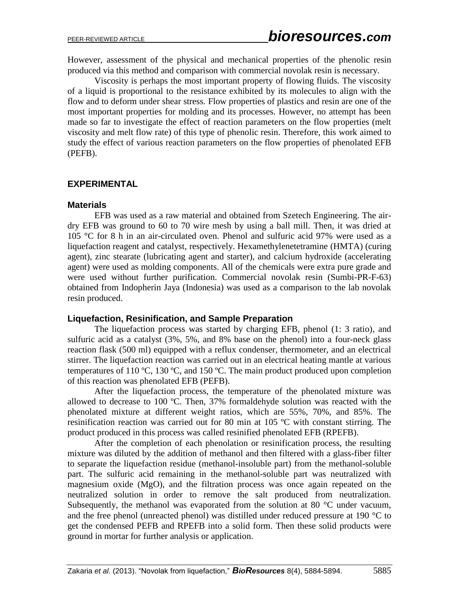However, assessment of the physical and mechanical properties of the phenolic resin produced via this method and comparison with commercial novolak resin is necessary.

Viscosity is perhaps the most important property of flowing fluids. The viscosity of a liquid is proportional to the resistance exhibited by its molecules to align with the flow and to deform under shear stress. Flow properties of plastics and resin are one of the most important properties for molding and its processes. However, no attempt has been made so far to investigate the effect of reaction parameters on the flow properties (melt viscosity and melt flow rate) of this type of phenolic resin. Therefore, this work aimed to study the effect of various reaction parameters on the flow properties of phenolated EFB (PEFB).

### **EXPERIMENTAL**

### **Materials**

EFB was used as a raw material and obtained from Szetech Engineering. The airdry EFB was ground to 60 to 70 wire mesh by using a ball mill. Then, it was dried at 105 °C for 8 h in an air-circulated oven. Phenol and sulfuric acid 97% were used as a liquefaction reagent and catalyst, respectively. Hexamethylenetetramine (HMTA) (curing agent), zinc stearate (lubricating agent and starter), and calcium hydroxide (accelerating agent) were used as molding components. All of the chemicals were extra pure grade and were used without further purification. Commercial novolak resin (Sumbi-PR-F-63) obtained from Indopherin Jaya (Indonesia) was used as a comparison to the lab novolak resin produced.

### **Liquefaction, Resinification, and Sample Preparation**

The liquefaction process was started by charging EFB, phenol (1: 3 ratio), and sulfuric acid as a catalyst (3%, 5%, and 8% base on the phenol) into a four-neck glass reaction flask (500 ml) equipped with a reflux condenser, thermometer, and an electrical stirrer. The liquefaction reaction was carried out in an electrical heating mantle at various temperatures of 110 °C, 130 °C, and 150 °C. The main product produced upon completion of this reaction was phenolated EFB (PEFB).

After the liquefaction process, the temperature of the phenolated mixture was allowed to decrease to 100 ºC. Then, 37% formaldehyde solution was reacted with the phenolated mixture at different weight ratios, which are 55%, 70%, and 85%. The resinification reaction was carried out for 80 min at 105 ºC with constant stirring. The product produced in this process was called resinified phenolated EFB (RPEFB).

After the completion of each phenolation or resinification process, the resulting mixture was diluted by the addition of methanol and then filtered with a glass-fiber filter to separate the liquefaction residue (methanol-insoluble part) from the methanol-soluble part. The sulfuric acid remaining in the methanol-soluble part was neutralized with magnesium oxide (MgO), and the filtration process was once again repeated on the neutralized solution in order to remove the salt produced from neutralization. Subsequently, the methanol was evaporated from the solution at 80 °C under vacuum, and the free phenol (unreacted phenol) was distilled under reduced pressure at 190 °C to get the condensed PEFB and RPEFB into a solid form. Then these solid products were ground in mortar for further analysis or application.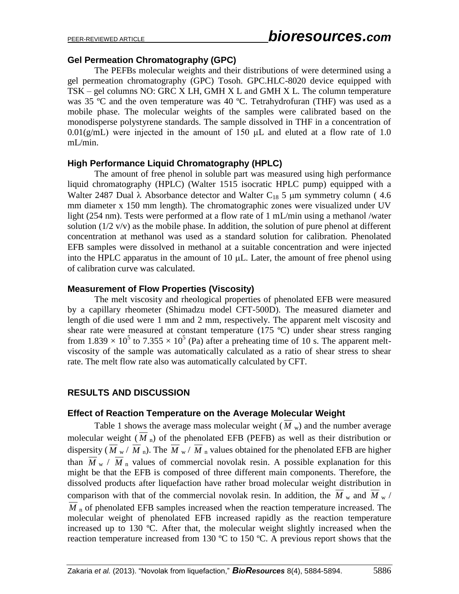### **Gel Permeation Chromatography (GPC)**

The PEFBs molecular weights and their distributions of were determined using a gel permeation chromatography (GPC) Tosoh. GPC.HLC-8020 device equipped with TSK – gel columns NO: GRC X LH, GMH X L and GMH X L. The column temperature was 35 °C and the oven temperature was 40 °C. Tetrahydrofuran (THF) was used as a mobile phase. The molecular weights of the samples were calibrated based on the monodisperse polystyrene standards. The sample dissolved in THF in a concentration of  $0.01(g/mL)$  were injected in the amount of 150  $\mu$ L and eluted at a flow rate of 1.0 mL/min.

### **High Performance Liquid Chromatography (HPLC)**

The amount of free phenol in soluble part was measured using high performance liquid chromatography (HPLC) (Walter 1515 isocratic HPLC pump) equipped with a Walter 2487 Dual  $\lambda$  Absorbance detector and Walter C<sub>18</sub> 5 um symmetry column (4.6) mm diameter x 150 mm length). The chromatographic zones were visualized under UV light (254 nm). Tests were performed at a flow rate of 1 mL/min using a methanol /water solution  $(1/2 \text{ v/v})$  as the mobile phase. In addition, the solution of pure phenol at different concentration at methanol was used as a standard solution for calibration. Phenolated EFB samples were dissolved in methanol at a suitable concentration and were injected into the HPLC apparatus in the amount of  $10 \mu L$ . Later, the amount of free phenol using of calibration curve was calculated.

### **Measurement of Flow Properties (Viscosity)**

The melt viscosity and rheological properties of phenolated EFB were measured by a capillary rheometer (Shimadzu model CFT-500D). The measured diameter and length of die used were 1 mm and 2 mm, respectively. The apparent melt viscosity and shear rate were measured at constant temperature (175 ºC) under shear stress ranging from 1.839  $\times$  10<sup>5</sup> to 7.355  $\times$  10<sup>5</sup> (Pa) after a preheating time of 10 s. The apparent meltviscosity of the sample was automatically calculated as a ratio of shear stress to shear rate. The melt flow rate also was automatically calculated by CFT.

### **RESULTS AND DISCUSSION**

#### **Effect of Reaction Temperature on the Average Molecular Weight**

Table 1 shows the average mass molecular weight  $(M_w)$  and the number average molecular weight  $(M<sub>n</sub>)$  of the phenolated EFB (PEFB) as well as their distribution or dispersity ( $M_{\rm w}$  /  $M_{\rm n}$ ). The  $M_{\rm w}$  /  $M_{\rm n}$  values obtained for the phenolated EFB are higher than  $M_{\rm w}$  /  $M_{\rm n}$  values of commercial novolak resin. A possible explanation for this might be that the EFB is composed of three different main components. Therefore, the dissolved products after liquefaction have rather broad molecular weight distribution in comparison with that of the commercial novolak resin. In addition, the  $M_{w}$  and  $M_{w}$  /  $\overline{M}$  n of phenolated EFB samples increased when the reaction temperature increased. The molecular weight of phenolated EFB increased rapidly as the reaction temperature increased up to 130 ºC. After that, the molecular weight slightly increased when the reaction temperature increased from 130  $^{\circ}$ C to 150  $^{\circ}$ C. A previous report shows that the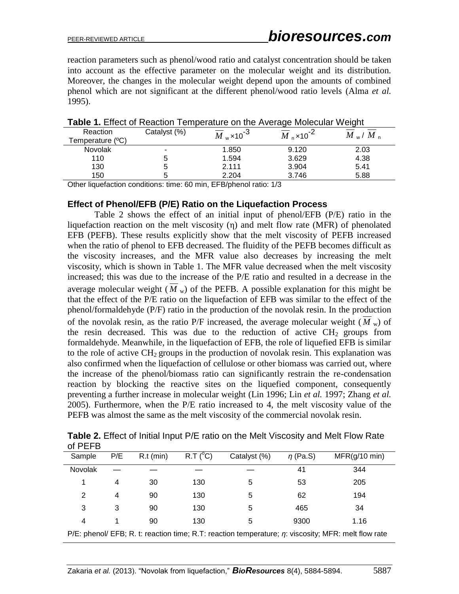reaction parameters such as phenol/wood ratio and catalyst concentration should be taken into account as the effective parameter on the molecular weight and its distribution. Moreover, the changes in the molecular weight depend upon the amounts of combined phenol which are not significant at the different phenol/wood ratio levels (Alma *et al.* 1995).

| Reaction<br>Temperature (°C) | Catalyst (%) | $\overline{M}_{\text{w}}$ × 10 <sup>-3</sup> | $\overline{M}$ <sub>n</sub> ×10 <sup>-2</sup> | $M_{\rm w}/M_{\rm n}$ |  |
|------------------------------|--------------|----------------------------------------------|-----------------------------------------------|-----------------------|--|
| <b>Novolak</b>               | -            | 1.850                                        | 9.120                                         | 2.03                  |  |
| 110                          |              | 1.594                                        | 3.629                                         | 4.38                  |  |
| 130                          |              | 2.111                                        | 3.904                                         | 5.41                  |  |
| 150                          |              | 2.204                                        | 3.746                                         | 5.88                  |  |
|                              |              |                                              |                                               |                       |  |

| Table 1. Effect of Reaction Temperature on the Average Molecular Weight |
|-------------------------------------------------------------------------|
|-------------------------------------------------------------------------|

Other liquefaction conditions: time: 60 min, EFB/phenol ratio: 1/3

#### **Effect of Phenol/EFB (P/E) Ratio on the Liquefaction Process**

Table 2 shows the effect of an initial input of phenol/EFB (P/E) ratio in the liquefaction reaction on the melt viscosity (η) and melt flow rate (MFR) of phenolated EFB (PEFB). These results explicitly show that the melt viscosity of PEFB increased when the ratio of phenol to EFB decreased. The fluidity of the PEFB becomes difficult as the viscosity increases, and the MFR value also decreases by increasing the melt viscosity, which is shown in Table 1. The MFR value decreased when the melt viscosity increased; this was due to the increase of the P/E ratio and resulted in a decrease in the average molecular weight  $(M_w)$  of the PEFB. A possible explanation for this might be that the effect of the P/E ratio on the liquefaction of EFB was similar to the effect of the phenol/formaldehyde (P/F) ratio in the production of the novolak resin. In the production of the novolak resin, as the ratio  $P/F$  increased, the average molecular weight ( $M<sub>w</sub>$ ) of the resin decreased. This was due to the reduction of active  $CH<sub>2</sub>$  groups from formaldehyde. Meanwhile, in the liquefaction of EFB, the role of liquefied EFB is similar to the role of active  $CH<sub>2</sub>$  groups in the production of novolak resin. This explanation was also confirmed when the liquefaction of cellulose or other biomass was carried out, where the increase of the phenol/biomass ratio can significantly restrain the re-condensation reaction by blocking the reactive sites on the liquefied component, consequently preventing a further increase in molecular weight [\(Lin 1996;](#page-9-0) Lin *et al.* [1997;](#page-9-1) [Zhang](#page-10-0) *et al.* [2005\)](#page-10-0). Furthermore, when the P/E ratio increased to 4, the melt viscosity value of the PEFB was almost the same as the melt viscosity of the commercial novolak resin.

| OIFLI D                                                                                                   |     |             |          |              |               |               |  |
|-----------------------------------------------------------------------------------------------------------|-----|-------------|----------|--------------|---------------|---------------|--|
| Sample                                                                                                    | P/E | $R.t$ (min) | R.T (°C) | Catalyst (%) | $\eta$ (Pa.S) | MFR(g/10 min) |  |
| Novolak                                                                                                   |     |             |          |              | 41            | 344           |  |
|                                                                                                           | 4   | 30          | 130      | 5            | 53            | 205           |  |
| 2                                                                                                         | 4   | 90          | 130      | 5            | 62            | 194           |  |
| 3                                                                                                         | 3   | 90          | 130      | 5            | 465           | 34            |  |
| 4                                                                                                         |     | 90          | 130      | 5            | 9300          | 1.16          |  |
| P/E: phenol/ EFB; R. t: reaction time; R.T: reaction temperature; $\eta$ : viscosity; MFR: melt flow rate |     |             |          |              |               |               |  |

**Table 2.** Effect of Initial Input P/E ratio on the Melt Viscosity and Melt Flow Rate  $of$  DEED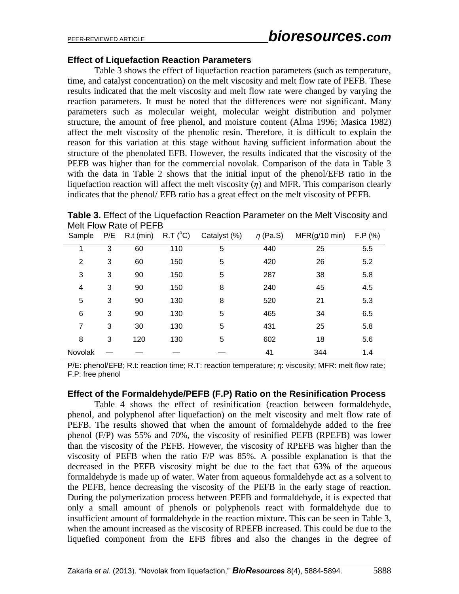### **Effect of Liquefaction Reaction Parameters**

Table 3 shows the effect of liquefaction reaction parameters (such as temperature, time, and catalyst concentration) on the melt viscosity and melt flow rate of PEFB. These results indicated that the melt viscosity and melt flow rate were changed by varying the reaction parameters. It must be noted that the differences were not significant. Many parameters such as molecular weight, molecular weight distribution and polymer structure, the amount of free phenol, and moisture content [\(Alma 1996;](#page-9-2) [Masica 1982\)](#page-9-3) affect the melt viscosity of the phenolic resin. Therefore, it is difficult to explain the reason for this variation at this stage without having sufficient information about the structure of the phenolated EFB. However, the results indicated that the viscosity of the PEFB was higher than for the commercial novolak. Comparison of the data in Table 3 with the data in Table 2 shows that the initial input of the phenol/EFB ratio in the liquefaction reaction will affect the melt viscosity (*η*) and MFR. This comparison clearly indicates that the phenol/ EFB ratio has a great effect on the melt viscosity of PEFB.

**Table 3.** Effect of the Liquefaction Reaction Parameter on the Melt Viscosity and Melt Flow Rate of PEFB

| Sample         | P/E | $R.t$ (min) | R.T (°C) | Catalyst (%) | $\eta$ (Pa.S) | $MFR(g/10 \text{ min})$ | F.P (%) |
|----------------|-----|-------------|----------|--------------|---------------|-------------------------|---------|
|                | 3   | 60          | 110      | 5            | 440           | 25                      | 5.5     |
| 2              | 3   | 60          | 150      | 5            | 420           | 26                      | 5.2     |
| 3              | 3   | 90          | 150      | 5            | 287           | 38                      | 5.8     |
| 4              | 3   | 90          | 150      | 8            | 240           | 45                      | 4.5     |
| 5              | 3   | 90          | 130      | 8            | 520           | 21                      | 5.3     |
| 6              | 3   | 90          | 130      | 5            | 465           | 34                      | 6.5     |
| $\overline{7}$ | 3   | 30          | 130      | 5            | 431           | 25                      | 5.8     |
| 8              | 3   | 120         | 130      | 5            | 602           | 18                      | 5.6     |
| Novolak        |     |             |          |              | 41            | 344                     | 1.4     |

P/E: phenol/EFB; R.t: reaction time; R.T: reaction temperature; *η*: viscosity; MFR: melt flow rate; F.P: free phenol

#### **Effect of the Formaldehyde/PEFB (F.P) Ratio on the Resinification Process**

Table 4 shows the effect of resinification (reaction between formaldehyde, phenol, and polyphenol after liquefaction) on the melt viscosity and melt flow rate of PEFB. The results showed that when the amount of formaldehyde added to the free phenol (F/P) was 55% and 70%, the viscosity of resinified PEFB (RPEFB) was lower than the viscosity of the PEFB. However, the viscosity of RPEFB was higher than the viscosity of PEFB when the ratio F/P was 85%. A possible explanation is that the decreased in the PEFB viscosity might be due to the fact that 63% of the aqueous formaldehyde is made up of water. Water from aqueous formaldehyde act as a solvent to the PEFB, hence decreasing the viscosity of the PEFB in the early stage of reaction. During the polymerization process between PEFB and formaldehyde, it is expected that only a small amount of phenols or polyphenols react with formaldehyde due to insufficient amount of formaldehyde in the reaction mixture. This can be seen in Table 3, when the amount increased as the viscosity of RPEFB increased. This could be due to the liquefied component from the EFB fibres and also the changes in the degree of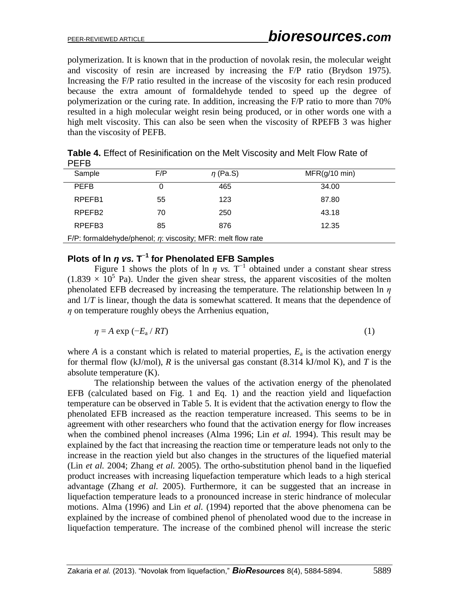polymerization. It is known that in the production of novolak resin, the molecular weight and viscosity of resin are increased by increasing the F/P ratio [\(Brydson 1975\)](#page-9-4). Increasing the F/P ratio resulted in the increase of the viscosity for each resin produced because the extra amount of formaldehyde tended to speed up the degree of polymerization or the curing rate. In addition, increasing the F/P ratio to more than 70% resulted in a high molecular weight resin being produced, or in other words one with a high melt viscosity. This can also be seen when the viscosity of RPEFB 3 was higher than the viscosity of PEFB.

| .                                                                 |     |               |                         |  |  |  |
|-------------------------------------------------------------------|-----|---------------|-------------------------|--|--|--|
| Sample                                                            | F/P | $\eta$ (Pa.S) | $MFR(g/10 \text{ min})$ |  |  |  |
| <b>PEFB</b>                                                       | 0   | 465           | 34.00                   |  |  |  |
| RPEFB1                                                            | 55  | 123           | 87.80                   |  |  |  |
| RPEFB <sub>2</sub>                                                | 70  | 250           | 43.18                   |  |  |  |
| RPEFB <sub>3</sub>                                                | 85  | 876           | 12.35                   |  |  |  |
| F/P: formaldehyde/phenol; $\eta$ : viscosity; MFR: melt flow rate |     |               |                         |  |  |  |

**Table 4.** Effect of Resinification on the Melt Viscosity and Melt Flow Rate of PEFB

# **Plots of ln** *η vs.* **T −1 for Phenolated EFB Samples**

Figure 1 shows the plots of ln  $\eta$  *vs.* T<sup>-1</sup> obtained under a constant shear stress  $(1.839 \times 10^5)$  Pa). Under the given shear stress, the apparent viscosities of the molten phenolated EFB decreased by increasing the temperature. The relationship between ln *η* and 1/*T* is linear, though the data is somewhat scattered. It means that the dependence of *η* on temperature roughly obeys the Arrhenius equation,

$$
\eta = A \exp\left(-E_a / RT\right) \tag{1}
$$

where  $A$  is a constant which is related to material properties,  $E_a$  is the activation energy for thermal flow (kJ/mol), *R* is the universal gas constant (8.314 kJ/mol K), and *T* is the absolute temperature (K).

The relationship between the values of the activation energy of the phenolated EFB (calculated based on Fig. 1 and Eq. 1) and the reaction yield and liquefaction temperature can be observed in Table 5. It is evident that the activation energy to flow the phenolated EFB increased as the reaction temperature increased. This seems to be in agreement with other researchers who found that the activation energy for flow increases when the combined phenol increases (Alma 1996; Lin *et al.* 1994). This result may be explained by the fact that increasing the reaction time or temperature leads not only to the increase in the reaction yield but also changes in the structures of the liquefied material (Lin *et al.* 2004; Zhang *et al.* 2005). The ortho-substitution phenol band in the liquefied product increases with increasing liquefaction temperature which leads to a high sterical advantage (Zhang *et al.* 2005). Furthermore, it can be suggested that an increase in liquefaction temperature leads to a pronounced increase in steric hindrance of molecular motions. Alma (1996) and Lin *et al.* (1994) reported that the above phenomena can be explained by the increase of combined phenol of phenolated wood due to the increase in liquefaction temperature. The increase of the combined phenol will increase the steric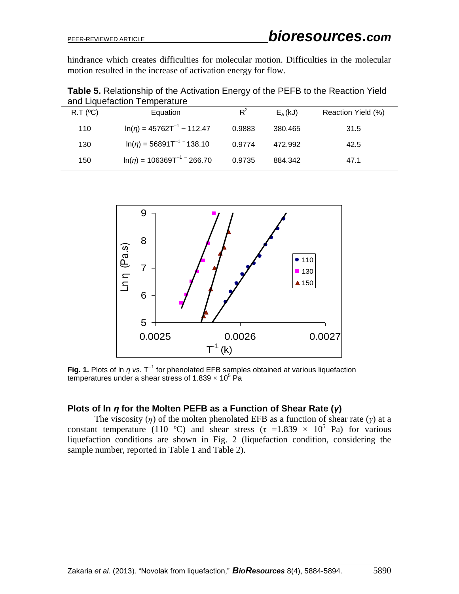hindrance which creates difficulties for molecular motion. Difficulties in the molecular motion resulted in the increase of activation energy for flow.

**Table 5.** Relationship of the Activation Energy of the PEFB to the Reaction Yield and Liquefaction Temperature

| $R.T$ ( $^{\circ}$ C) | Equation                           | $R^2$  | $E_a(kJ)$ | Reaction Yield (%) |
|-----------------------|------------------------------------|--------|-----------|--------------------|
| 110                   | $\ln(\eta) = 45762T^{-1} - 112.47$ | 0.9883 | 380.465   | 31.5               |
| 130                   | $\ln(n) = 56891T^{-1}$ 138.10      | 0.9774 | 472.992   | 42.5               |
| 150                   | $\ln(n) = 106369T^{-1}$ - 266.70   | 0.9735 | 884.342   | 47.1               |



Fig. 1. Plots of ln  $\eta$  *vs.* T<sup>-1</sup> for phenolated EFB samples obtained at various liquefaction temperatures under a shear stress of 1.839  $\times$  10<sup>5</sup> Pa

### **Plots of ln** *η* **for the Molten PEFB as a Function of Shear Rate (***γ***)**

The viscosity (*η*) of the molten phenolated EFB as a function of shear rate (*γ*) at a constant temperature (110 °C) and shear stress ( $\tau$  =1.839  $\times$  10<sup>5</sup> Pa) for various liquefaction conditions are shown in Fig. 2 (liquefaction condition, considering the sample number, reported in Table 1 and Table 2).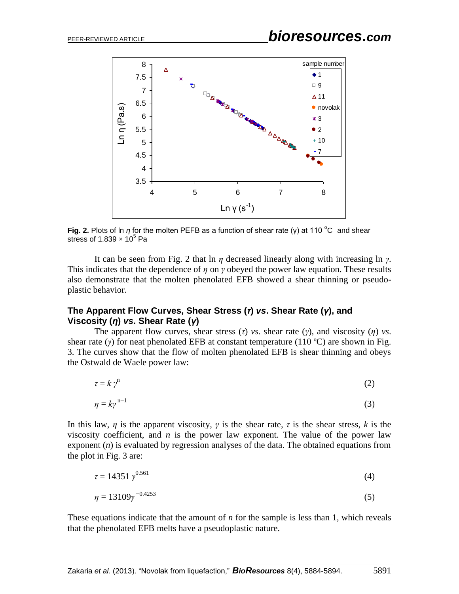

**Fig. 2.** Plots of ln *η* for the molten PEFB as a function of shear rate (γ) at 110 °C and shear stress of 1.839  $\times$  10<sup>5</sup> Pa

It can be seen from Fig. 2 that ln *η* decreased linearly along with increasing ln *γ*. This indicates that the dependence of *η* on *γ* obeyed the power law equation. These results also demonstrate that the molten phenolated EFB showed a shear thinning or pseudoplastic behavior.

### **The Apparent Flow Curves, Shear Stress (***τ***)** *vs***. Shear Rate (***γ***), and Viscosity (***η***)** *vs***. Shear Rate (***γ***)**

The apparent flow curves, shear stress  $(τ)$  *vs*. shear rate  $(γ)$ , and viscosity  $(η)$  *vs*. shear rate ( $\gamma$ ) for neat phenolated EFB at constant temperature (110 °C) are shown in Fig. 3. The curves show that the flow of molten phenolated EFB is shear thinning and obeys the Ostwald de Waele power law:

$$
\tau = k \, \gamma^{\mathfrak{n}} \tag{2}
$$

$$
\eta = k\gamma^{n-1} \tag{3}
$$

In this law,  $\eta$  is the apparent viscosity,  $\gamma$  is the shear rate,  $\tau$  is the shear stress,  $k$  is the viscosity coefficient, and  $n$  is the power law exponent. The value of the power law exponent (*n*) is evaluated by regression analyses of the data. The obtained equations from the plot in Fig. 3 are:

$$
\tau = 14351 \, \gamma^{0.561} \tag{4}
$$

$$
\eta = 13109\gamma^{-0.4253} \tag{5}
$$

These equations indicate that the amount of *n* for the sample is less than 1, which reveals that the phenolated EFB melts have a pseudoplastic nature.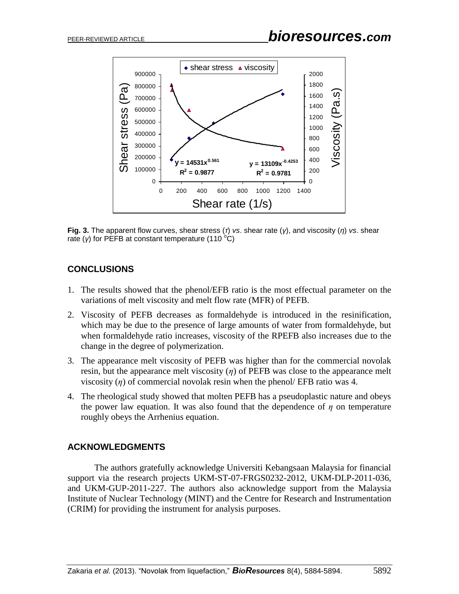

**Fig. 3.** The apparent flow curves, shear stress (*τ*) *vs*. shear rate (*γ*), and viscosity (*η*) *vs*. shear rate ( $\gamma$ ) for PEFB at constant temperature (110 °C)

# **CONCLUSIONS**

- 1. The results showed that the phenol/EFB ratio is the most effectual parameter on the variations of melt viscosity and melt flow rate (MFR) of PEFB.
- 2. Viscosity of PEFB decreases as formaldehyde is introduced in the resinification, which may be due to the presence of large amounts of water from formaldehyde, but when formaldehyde ratio increases, viscosity of the RPEFB also increases due to the change in the degree of polymerization.
- 3. The appearance melt viscosity of PEFB was higher than for the commercial novolak resin, but the appearance melt viscosity  $(\eta)$  of PEFB was close to the appearance melt viscosity  $(\eta)$  of commercial novolak resin when the phenol/ EFB ratio was 4.
- 4. The rheological study showed that molten PEFB has a pseudoplastic nature and obeys the power law equation. It was also found that the dependence of  $\eta$  on temperature roughly obeys the Arrhenius equation.

# **ACKNOWLEDGMENTS**

The authors gratefully acknowledge Universiti Kebangsaan Malaysia for financial support via the research projects UKM-ST-07-FRGS0232-2012, UKM-DLP-2011-036, and UKM-GUP-2011-227. The authors also acknowledge support from the Malaysia Institute of Nuclear Technology (MINT) and the Centre for Research and Instrumentation (CRIM) for providing the instrument for analysis purposes.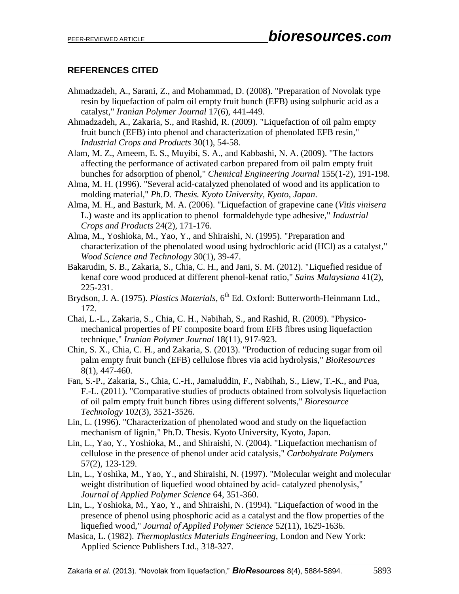## **REFERENCES CITED**

- Ahmadzadeh, A., Sarani, Z., and Mohammad, D. (2008). "Preparation of Novolak type resin by liquefaction of palm oil empty fruit bunch (EFB) using sulphuric acid as a catalyst," *Iranian Polymer Journal* 17(6), 441-449.
- Ahmadzadeh, A., Zakaria, S., and Rashid, R. (2009). "Liquefaction of oil palm empty fruit bunch (EFB) into phenol and characterization of phenolated EFB resin," *Industrial Crops and Products* 30(1), 54-58.
- Alam, M. Z., Ameem, E. S., Muyibi, S. A., and Kabbashi, N. A. (2009). "The factors affecting the performance of activated carbon prepared from oil palm empty fruit bunches for adsorption of phenol," *Chemical Engineering Journal* 155(1-2), 191-198.
- <span id="page-9-2"></span>Alma, M. H. (1996). "Several acid-catalyzed phenolated of wood and its application to molding material," *Ph.D. Thesis. Kyoto University, Kyoto, Japan*.
- Alma, M. H., and Basturk, M. A. (2006). "Liquefaction of grapevine cane (*Vitis vinisera* L.) waste and its application to phenol–formaldehyde type adhesive," *Industrial Crops and Products* 24(2), 171-176.
- Alma, M., Yoshioka, M., Yao, Y., and Shiraishi, N. (1995). "Preparation and characterization of the phenolated wood using hydrochloric acid (HCl) as a catalyst," *Wood Science and Technology* 30(1), 39-47.
- Bakarudin, S. B., Zakaria, S., Chia, C. H., and Jani, S. M. (2012). "Liquefied residue of kenaf core wood produced at different phenol-kenaf ratio," *Sains Malaysiana* 41(2), 225-231.
- <span id="page-9-4"></span>Brydson, J. A. (1975). *Plastics Materials*, 6<sup>th</sup> Ed. Oxford: Butterworth-Heinmann Ltd., 172.
- Chai, L.-L., Zakaria, S., Chia, C. H., Nabihah, S., and Rashid, R. (2009). "Physicomechanical properties of PF composite board from EFB fibres using liquefaction technique," *Iranian Polymer Journal* 18(11), 917-923.
- Chin, S. X., Chia, C. H., and Zakaria, S. (2013). "Production of reducing sugar from oil palm empty fruit bunch (EFB) cellulose fibres via acid hydrolysis," *BioResources* 8(1), 447-460.
- Fan, S.-P., Zakaria, S., Chia, C.-H., Jamaluddin, F., Nabihah, S., Liew, T.-K., and Pua, F.-L. (2011). "Comparative studies of products obtained from solvolysis liquefaction of oil palm empty fruit bunch fibres using different solvents," *Bioresource Technology* 102(3), 3521-3526.
- <span id="page-9-0"></span>Lin, L. (1996). "Characterization of phenolated wood and study on the liquefaction mechanism of lignin," Ph.D. Thesis. Kyoto University, Kyoto, Japan.
- Lin, L., Yao, Y., Yoshioka, M., and Shiraishi, N. (2004). "Liquefaction mechanism of cellulose in the presence of phenol under acid catalysis," *Carbohydrate Polymers* 57(2), 123-129.
- <span id="page-9-1"></span>Lin, L., Yoshika, M., Yao, Y., and Shiraishi, N. (1997). "Molecular weight and molecular weight distribution of liquefied wood obtained by acid- catalyzed phenolysis," *Journal of Applied Polymer Science* 64, 351-360.
- Lin, L., Yoshioka, M., Yao, Y., and Shiraishi, N. (1994). "Liquefaction of wood in the presence of phenol using phosphoric acid as a catalyst and the flow properties of the liquefied wood," *Journal of Applied Polymer Science* 52(11), 1629-1636.
- <span id="page-9-3"></span>Masica, L. (1982). *Thermoplastics Materials Engineering*, London and New York: Applied Science Publishers Ltd., 318-327.